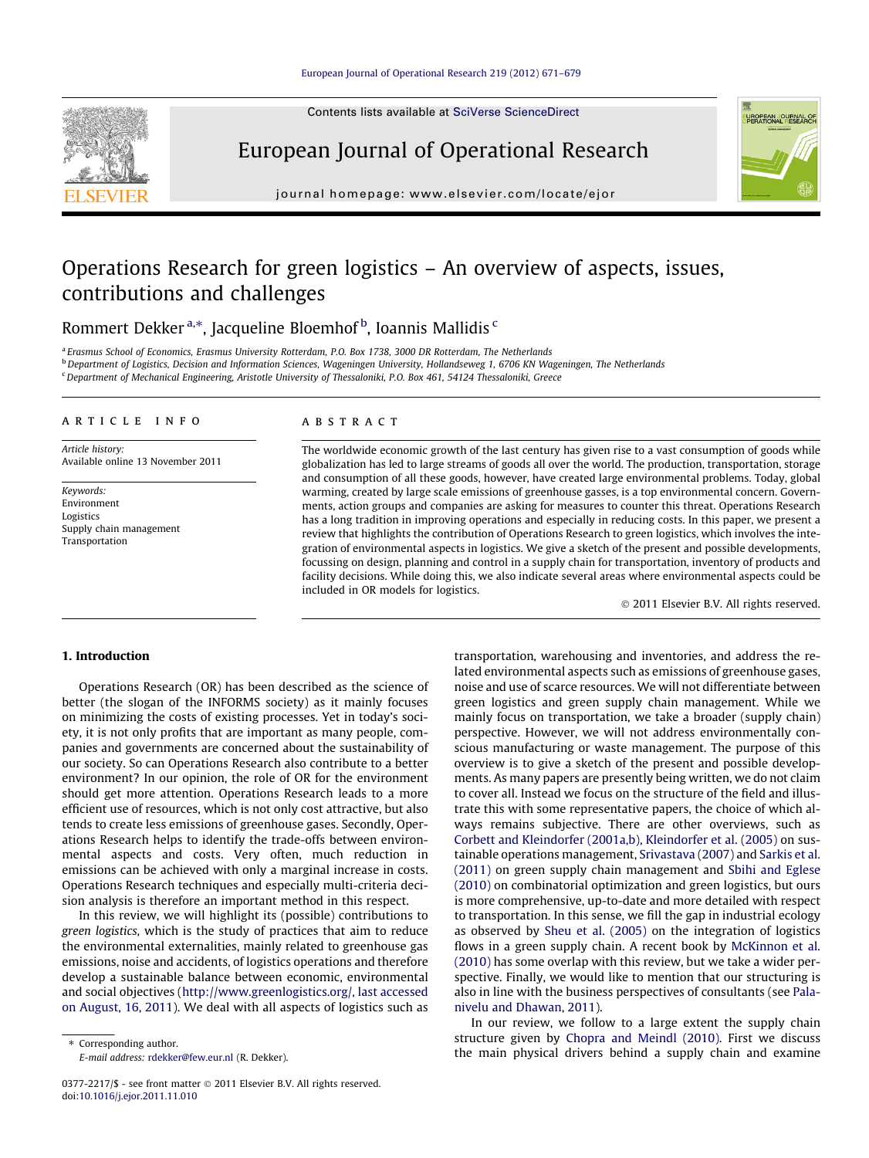# [European Journal of Operational Research 219 \(2012\) 671–679](http://dx.doi.org/10.1016/j.ejor.2011.11.010)

Contents lists available at [SciVerse ScienceDirect](http://www.sciencedirect.com/science/journal/03772217)



European Journal of Operational Research

journal homepage: [www.elsevier.com/locate/ejor](http://www.elsevier.com/locate/ejor)

# UROPEAN JOURNAL O

# Operations Research for green logistics – An overview of aspects, issues, contributions and challenges

Rommert Dekker<sup>a,\*</sup>, Jacqueline Bloemhof<sup>b</sup>, Ioannis Mallidis <sup>c</sup>

<sup>a</sup> Erasmus School of Economics, Erasmus University Rotterdam, P.O. Box 1738, 3000 DR Rotterdam, The Netherlands <sup>b</sup> Department of Logistics, Decision and Information Sciences, Wageningen University, Hollandseweg 1, 6706 KN Wageningen, The Netherlands  $c$ Department of Mechanical Engineering, Aristotle University of Thessaloniki, P.O. Box 461, 54124 Thessaloniki, Greece

#### article info

Article history: Available online 13 November 2011

Keywords: Environment Logistics Supply chain management Transportation

# ABSTRACT

The worldwide economic growth of the last century has given rise to a vast consumption of goods while globalization has led to large streams of goods all over the world. The production, transportation, storage and consumption of all these goods, however, have created large environmental problems. Today, global warming, created by large scale emissions of greenhouse gasses, is a top environmental concern. Governments, action groups and companies are asking for measures to counter this threat. Operations Research has a long tradition in improving operations and especially in reducing costs. In this paper, we present a review that highlights the contribution of Operations Research to green logistics, which involves the integration of environmental aspects in logistics. We give a sketch of the present and possible developments, focussing on design, planning and control in a supply chain for transportation, inventory of products and facility decisions. While doing this, we also indicate several areas where environmental aspects could be included in OR models for logistics.

- 2011 Elsevier B.V. All rights reserved.

# 1. Introduction

Operations Research (OR) has been described as the science of better (the slogan of the INFORMS society) as it mainly focuses on minimizing the costs of existing processes. Yet in today's society, it is not only profits that are important as many people, companies and governments are concerned about the sustainability of our society. So can Operations Research also contribute to a better environment? In our opinion, the role of OR for the environment should get more attention. Operations Research leads to a more efficient use of resources, which is not only cost attractive, but also tends to create less emissions of greenhouse gases. Secondly, Operations Research helps to identify the trade-offs between environmental aspects and costs. Very often, much reduction in emissions can be achieved with only a marginal increase in costs. Operations Research techniques and especially multi-criteria decision analysis is therefore an important method in this respect.

In this review, we will highlight its (possible) contributions to green logistics, which is the study of practices that aim to reduce the environmental externalities, mainly related to greenhouse gas emissions, noise and accidents, of logistics operations and therefore develop a sustainable balance between economic, environmental and social objectives ([http://www.greenlogistics.org/, last accessed](#page-8-0) [on August, 16, 2011\)](#page-8-0). We deal with all aspects of logistics such as

\* Corresponding author. E-mail address: [rdekker@few.eur.nl](mailto:rdekker@few.eur.nl) (R. Dekker). transportation, warehousing and inventories, and address the related environmental aspects such as emissions of greenhouse gases, noise and use of scarce resources. We will not differentiate between green logistics and green supply chain management. While we mainly focus on transportation, we take a broader (supply chain) perspective. However, we will not address environmentally conscious manufacturing or waste management. The purpose of this overview is to give a sketch of the present and possible developments. As many papers are presently being written, we do not claim to cover all. Instead we focus on the structure of the field and illustrate this with some representative papers, the choice of which always remains subjective. There are other overviews, such as [Corbett and Kleindorfer \(2001a,b\), Kleindorfer et al. \(2005\)](#page-7-0) on sustainable operations management, [Srivastava \(2007\)](#page-8-0) and [Sarkis et al.](#page-8-0) [\(2011\)](#page-8-0) on green supply chain management and [Sbihi and Eglese](#page-8-0) [\(2010\)](#page-8-0) on combinatorial optimization and green logistics, but ours is more comprehensive, up-to-date and more detailed with respect to transportation. In this sense, we fill the gap in industrial ecology as observed by [Sheu et al. \(2005\)](#page-8-0) on the integration of logistics flows in a green supply chain. A recent book by [McKinnon et al.](#page-8-0) [\(2010\)](#page-8-0) has some overlap with this review, but we take a wider perspective. Finally, we would like to mention that our structuring is also in line with the business perspectives of consultants (see [Pala](#page-8-0)[nivelu and Dhawan, 2011](#page-8-0)).

In our review, we follow to a large extent the supply chain structure given by [Chopra and Meindl \(2010\)](#page-7-0). First we discuss the main physical drivers behind a supply chain and examine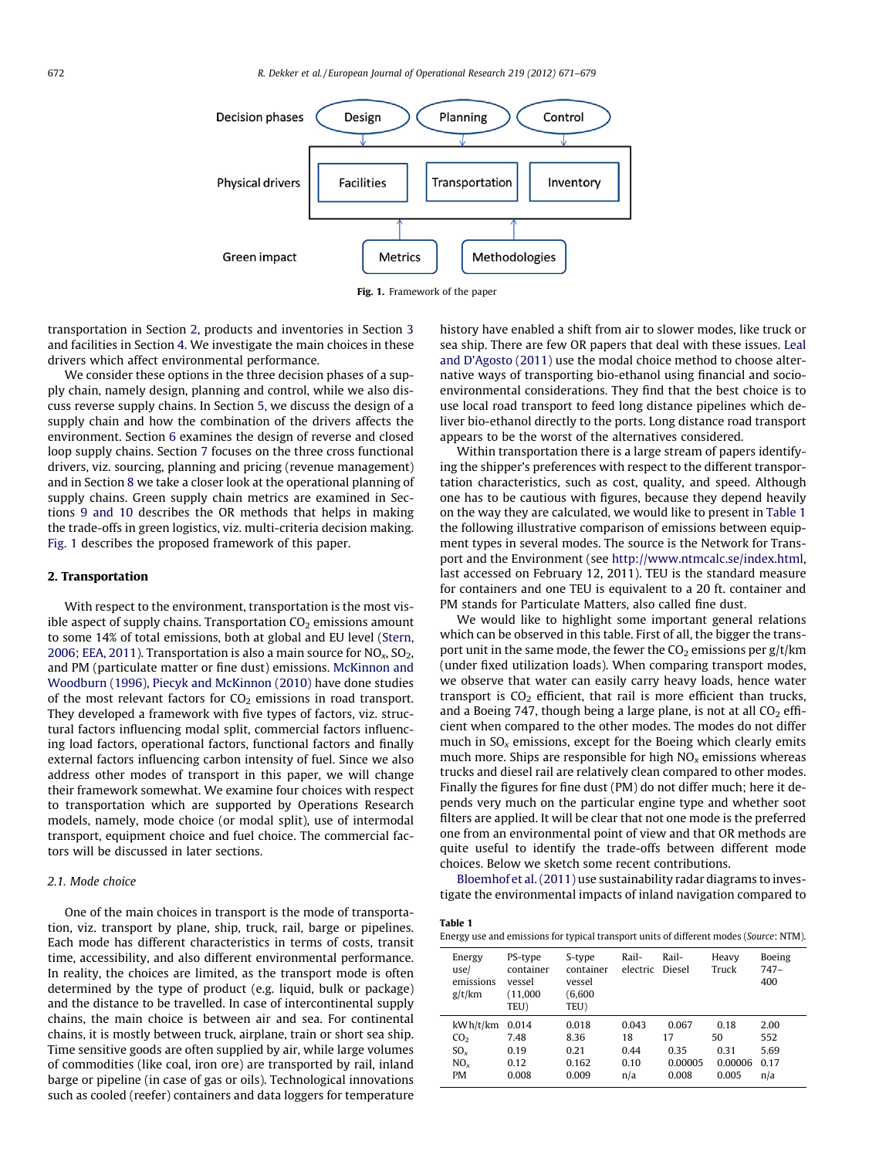<span id="page-1-0"></span>

Fig. 1. Framework of the paper

transportation in Section 2, products and inventories in Section [3](#page-2-0) and facilities in Section [4](#page-3-0). We investigate the main choices in these drivers which affect environmental performance.

We consider these options in the three decision phases of a supply chain, namely design, planning and control, while we also discuss reverse supply chains. In Section [5](#page-3-0), we discuss the design of a supply chain and how the combination of the drivers affects the environment. Section [6](#page-5-0) examines the design of reverse and closed loop supply chains. Section [7](#page-5-0) focuses on the three cross functional drivers, viz. sourcing, planning and pricing (revenue management) and in Section [8](#page-6-0) we take a closer look at the operational planning of supply chains. Green supply chain metrics are examined in Sections [9 and 10](#page-6-0) describes the OR methods that helps in making the trade-offs in green logistics, viz. multi-criteria decision making. Fig. 1 describes the proposed framework of this paper.

## 2. Transportation

With respect to the environment, transportation is the most visible aspect of supply chains. Transportation  $CO<sub>2</sub>$  emissions amount to some 14% of total emissions, both at global and EU level [\(Stern,](#page-8-0) [2006; EEA, 2011\)](#page-8-0). Transportation is also a main source for  $NO<sub>x</sub>$ ,  $SO<sub>2</sub>$ , and PM (particulate matter or fine dust) emissions. [McKinnon and](#page-8-0) [Woodburn \(1996\), Piecyk and McKinnon \(2010\)](#page-8-0) have done studies of the most relevant factors for  $CO<sub>2</sub>$  emissions in road transport. They developed a framework with five types of factors, viz. structural factors influencing modal split, commercial factors influencing load factors, operational factors, functional factors and finally external factors influencing carbon intensity of fuel. Since we also address other modes of transport in this paper, we will change their framework somewhat. We examine four choices with respect to transportation which are supported by Operations Research models, namely, mode choice (or modal split), use of intermodal transport, equipment choice and fuel choice. The commercial factors will be discussed in later sections.

#### 2.1. Mode choice

One of the main choices in transport is the mode of transportation, viz. transport by plane, ship, truck, rail, barge or pipelines. Each mode has different characteristics in terms of costs, transit time, accessibility, and also different environmental performance. In reality, the choices are limited, as the transport mode is often determined by the type of product (e.g. liquid, bulk or package) and the distance to be travelled. In case of intercontinental supply chains, the main choice is between air and sea. For continental chains, it is mostly between truck, airplane, train or short sea ship. Time sensitive goods are often supplied by air, while large volumes of commodities (like coal, iron ore) are transported by rail, inland barge or pipeline (in case of gas or oils). Technological innovations such as cooled (reefer) containers and data loggers for temperature history have enabled a shift from air to slower modes, like truck or sea ship. There are few OR papers that deal with these issues. [Leal](#page-8-0) [and D'Agosto \(2011\)](#page-8-0) use the modal choice method to choose alternative ways of transporting bio-ethanol using financial and socioenvironmental considerations. They find that the best choice is to use local road transport to feed long distance pipelines which deliver bio-ethanol directly to the ports. Long distance road transport appears to be the worst of the alternatives considered.

Within transportation there is a large stream of papers identifying the shipper's preferences with respect to the different transportation characteristics, such as cost, quality, and speed. Although one has to be cautious with figures, because they depend heavily on the way they are calculated, we would like to present in Table 1 the following illustrative comparison of emissions between equipment types in several modes. The source is the Network for Transport and the Environment (see [http://www.ntmcalc.se/index.html,](http://www.ntmcalc.se/index.html) last accessed on February 12, 2011). TEU is the standard measure for containers and one TEU is equivalent to a 20 ft. container and PM stands for Particulate Matters, also called fine dust.

We would like to highlight some important general relations which can be observed in this table. First of all, the bigger the transport unit in the same mode, the fewer the  $CO<sub>2</sub>$  emissions per g/t/km (under fixed utilization loads). When comparing transport modes, we observe that water can easily carry heavy loads, hence water transport is  $CO<sub>2</sub>$  efficient, that rail is more efficient than trucks, and a Boeing 747, though being a large plane, is not at all  $CO<sub>2</sub>$  efficient when compared to the other modes. The modes do not differ much in  $SO_x$  emissions, except for the Boeing which clearly emits much more. Ships are responsible for high  $NO<sub>x</sub>$  emissions whereas trucks and diesel rail are relatively clean compared to other modes. Finally the figures for fine dust (PM) do not differ much; here it depends very much on the particular engine type and whether soot filters are applied. It will be clear that not one mode is the preferred one from an environmental point of view and that OR methods are quite useful to identify the trade-offs between different mode choices. Below we sketch some recent contributions.

[Bloemhof et al. \(2011\)](#page-7-0) use sustainability radar diagrams to investigate the environmental impacts of inland navigation compared to

Table 1

Energy use and emissions for typical transport units of different modes (Source: NTM).

| Energy<br>use/<br>emissions<br>g/t/km | PS-type<br>container<br>vessel<br>(11,000)<br>TEU) | S-type<br>container<br>vessel<br>(6,600)<br>TEU) | Rail-<br>electric Diesel | Rail-   | Heavy<br>Truck | Boeing<br>$747-$<br>400 |
|---------------------------------------|----------------------------------------------------|--------------------------------------------------|--------------------------|---------|----------------|-------------------------|
| kWh/t/km                              | 0.014                                              | 0.018                                            | 0.043                    | 0.067   | 0.18           | 2.00                    |
| CO <sub>2</sub>                       | 7.48                                               | 8.36                                             | 18                       | 17      | 50             | 552                     |
| SO <sub>x</sub>                       | 0.19                                               | 0.21                                             | 0.44                     | 0.35    | 0.31           | 5.69                    |
| NO <sub>x</sub>                       | 0.12                                               | 0.162                                            | 0.10                     | 0.00005 | 0.00006        | 0.17                    |
| PM                                    | 0.008                                              | 0.009                                            | n/a                      | 0.008   | 0.005          | n/a                     |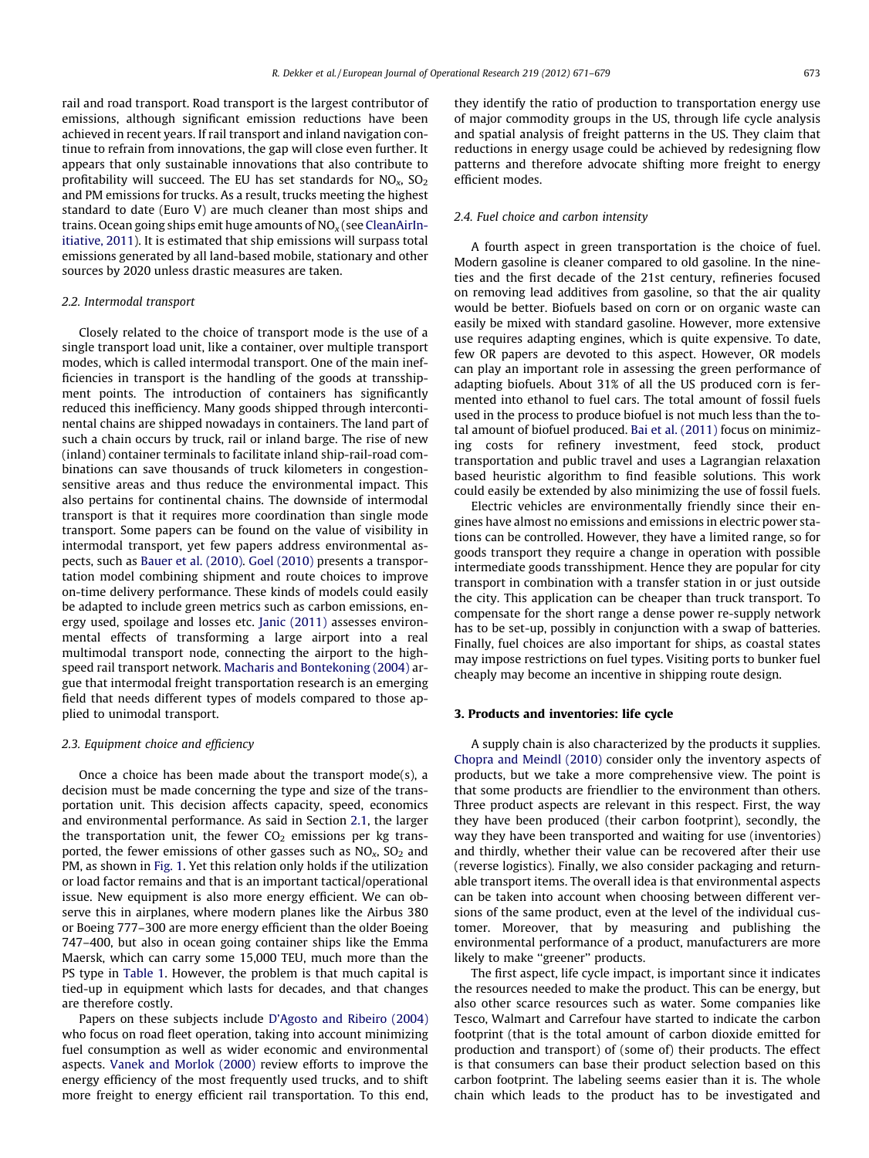<span id="page-2-0"></span>rail and road transport. Road transport is the largest contributor of emissions, although significant emission reductions have been achieved in recent years. If rail transport and inland navigation continue to refrain from innovations, the gap will close even further. It appears that only sustainable innovations that also contribute to profitability will succeed. The EU has set standards for  $NO<sub>x</sub>$ ,  $SO<sub>2</sub>$ and PM emissions for trucks. As a result, trucks meeting the highest standard to date (Euro V) are much cleaner than most ships and trains. Ocean going ships emit huge amounts of  $NO<sub>x</sub>$  (see [CleanAirIn](#page-7-0)[itiative, 2011\)](#page-7-0). It is estimated that ship emissions will surpass total emissions generated by all land-based mobile, stationary and other sources by 2020 unless drastic measures are taken.

# 2.2. Intermodal transport

Closely related to the choice of transport mode is the use of a single transport load unit, like a container, over multiple transport modes, which is called intermodal transport. One of the main inefficiencies in transport is the handling of the goods at transshipment points. The introduction of containers has significantly reduced this inefficiency. Many goods shipped through intercontinental chains are shipped nowadays in containers. The land part of such a chain occurs by truck, rail or inland barge. The rise of new (inland) container terminals to facilitate inland ship-rail-road combinations can save thousands of truck kilometers in congestionsensitive areas and thus reduce the environmental impact. This also pertains for continental chains. The downside of intermodal transport is that it requires more coordination than single mode transport. Some papers can be found on the value of visibility in intermodal transport, yet few papers address environmental aspects, such as [Bauer et al. \(2010\)](#page-7-0). [Goel \(2010\)](#page-7-0) presents a transportation model combining shipment and route choices to improve on-time delivery performance. These kinds of models could easily be adapted to include green metrics such as carbon emissions, energy used, spoilage and losses etc. [Janic \(2011\)](#page-8-0) assesses environmental effects of transforming a large airport into a real multimodal transport node, connecting the airport to the highspeed rail transport network. [Macharis and Bontekoning \(2004\)](#page-8-0) argue that intermodal freight transportation research is an emerging field that needs different types of models compared to those applied to unimodal transport.

# 2.3. Equipment choice and efficiency

Once a choice has been made about the transport mode(s), a decision must be made concerning the type and size of the transportation unit. This decision affects capacity, speed, economics and environmental performance. As said in Section [2.1,](#page-1-0) the larger the transportation unit, the fewer  $CO<sub>2</sub>$  emissions per kg transported, the fewer emissions of other gasses such as  $NO<sub>x</sub>$ ,  $SO<sub>2</sub>$  and PM, as shown in [Fig. 1.](#page-1-0) Yet this relation only holds if the utilization or load factor remains and that is an important tactical/operational issue. New equipment is also more energy efficient. We can observe this in airplanes, where modern planes like the Airbus 380 or Boeing 777–300 are more energy efficient than the older Boeing 747–400, but also in ocean going container ships like the Emma Maersk, which can carry some 15,000 TEU, much more than the PS type in [Table 1.](#page-1-0) However, the problem is that much capital is tied-up in equipment which lasts for decades, and that changes are therefore costly.

Papers on these subjects include [D'Agosto and Ribeiro \(2004\)](#page-7-0) who focus on road fleet operation, taking into account minimizing fuel consumption as well as wider economic and environmental aspects. [Vanek and Morlok \(2000\)](#page-8-0) review efforts to improve the energy efficiency of the most frequently used trucks, and to shift more freight to energy efficient rail transportation. To this end,

they identify the ratio of production to transportation energy use of major commodity groups in the US, through life cycle analysis and spatial analysis of freight patterns in the US. They claim that reductions in energy usage could be achieved by redesigning flow patterns and therefore advocate shifting more freight to energy efficient modes.

#### 2.4. Fuel choice and carbon intensity

A fourth aspect in green transportation is the choice of fuel. Modern gasoline is cleaner compared to old gasoline. In the nineties and the first decade of the 21st century, refineries focused on removing lead additives from gasoline, so that the air quality would be better. Biofuels based on corn or on organic waste can easily be mixed with standard gasoline. However, more extensive use requires adapting engines, which is quite expensive. To date, few OR papers are devoted to this aspect. However, OR models can play an important role in assessing the green performance of adapting biofuels. About 31% of all the US produced corn is fermented into ethanol to fuel cars. The total amount of fossil fuels used in the process to produce biofuel is not much less than the total amount of biofuel produced. [Bai et al. \(2011\)](#page-7-0) focus on minimizing costs for refinery investment, feed stock, product transportation and public travel and uses a Lagrangian relaxation based heuristic algorithm to find feasible solutions. This work could easily be extended by also minimizing the use of fossil fuels.

Electric vehicles are environmentally friendly since their engines have almost no emissions and emissions in electric power stations can be controlled. However, they have a limited range, so for goods transport they require a change in operation with possible intermediate goods transshipment. Hence they are popular for city transport in combination with a transfer station in or just outside the city. This application can be cheaper than truck transport. To compensate for the short range a dense power re-supply network has to be set-up, possibly in conjunction with a swap of batteries. Finally, fuel choices are also important for ships, as coastal states may impose restrictions on fuel types. Visiting ports to bunker fuel cheaply may become an incentive in shipping route design.

#### 3. Products and inventories: life cycle

A supply chain is also characterized by the products it supplies. [Chopra and Meindl \(2010\)](#page-7-0) consider only the inventory aspects of products, but we take a more comprehensive view. The point is that some products are friendlier to the environment than others. Three product aspects are relevant in this respect. First, the way they have been produced (their carbon footprint), secondly, the way they have been transported and waiting for use (inventories) and thirdly, whether their value can be recovered after their use (reverse logistics). Finally, we also consider packaging and returnable transport items. The overall idea is that environmental aspects can be taken into account when choosing between different versions of the same product, even at the level of the individual customer. Moreover, that by measuring and publishing the environmental performance of a product, manufacturers are more likely to make "greener" products.

The first aspect, life cycle impact, is important since it indicates the resources needed to make the product. This can be energy, but also other scarce resources such as water. Some companies like Tesco, Walmart and Carrefour have started to indicate the carbon footprint (that is the total amount of carbon dioxide emitted for production and transport) of (some of) their products. The effect is that consumers can base their product selection based on this carbon footprint. The labeling seems easier than it is. The whole chain which leads to the product has to be investigated and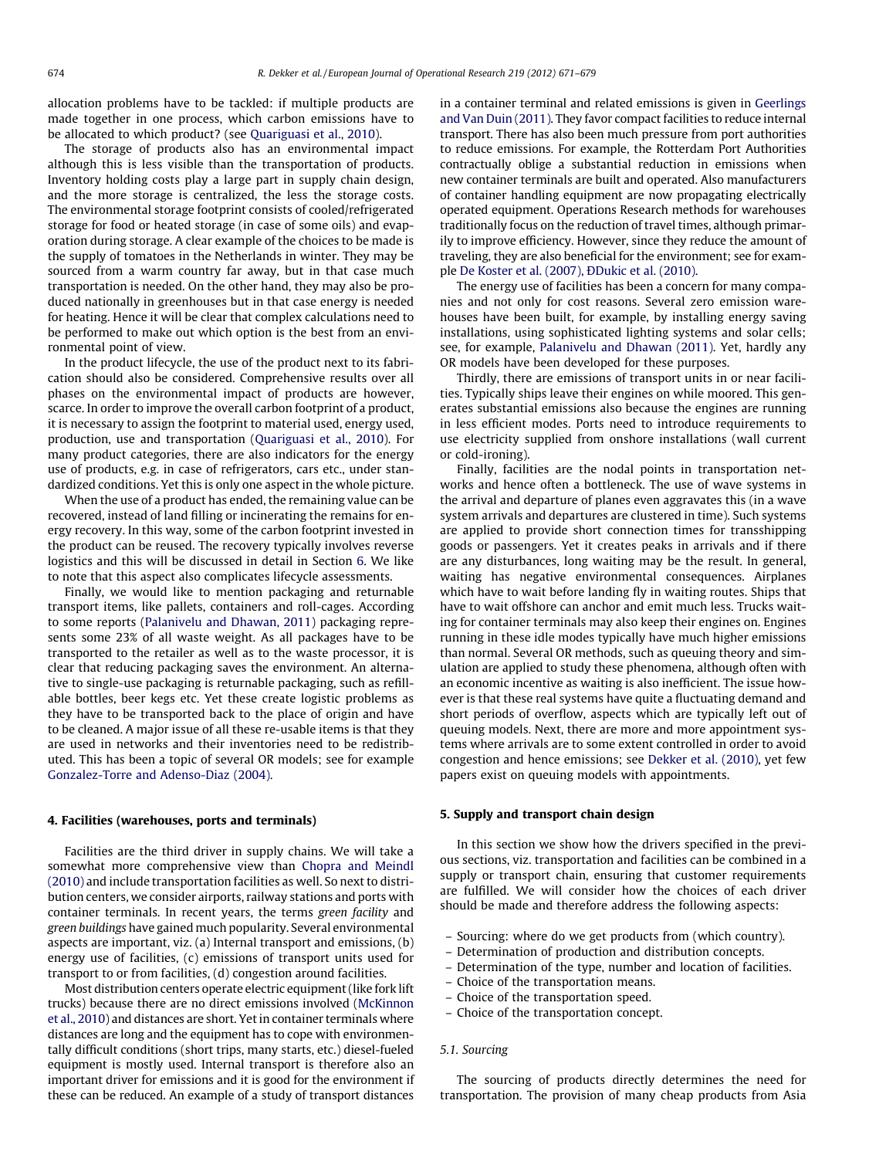<span id="page-3-0"></span>allocation problems have to be tackled: if multiple products are made together in one process, which carbon emissions have to be allocated to which product? (see [Quariguasi et al., 2010](#page-8-0)).

The storage of products also has an environmental impact although this is less visible than the transportation of products. Inventory holding costs play a large part in supply chain design, and the more storage is centralized, the less the storage costs. The environmental storage footprint consists of cooled/refrigerated storage for food or heated storage (in case of some oils) and evaporation during storage. A clear example of the choices to be made is the supply of tomatoes in the Netherlands in winter. They may be sourced from a warm country far away, but in that case much transportation is needed. On the other hand, they may also be produced nationally in greenhouses but in that case energy is needed for heating. Hence it will be clear that complex calculations need to be performed to make out which option is the best from an environmental point of view.

In the product lifecycle, the use of the product next to its fabrication should also be considered. Comprehensive results over all phases on the environmental impact of products are however, scarce. In order to improve the overall carbon footprint of a product, it is necessary to assign the footprint to material used, energy used, production, use and transportation ([Quariguasi et al., 2010](#page-8-0)). For many product categories, there are also indicators for the energy use of products, e.g. in case of refrigerators, cars etc., under standardized conditions. Yet this is only one aspect in the whole picture.

When the use of a product has ended, the remaining value can be recovered, instead of land filling or incinerating the remains for energy recovery. In this way, some of the carbon footprint invested in the product can be reused. The recovery typically involves reverse logistics and this will be discussed in detail in Section [6](#page-5-0). We like to note that this aspect also complicates lifecycle assessments.

Finally, we would like to mention packaging and returnable transport items, like pallets, containers and roll-cages. According to some reports [\(Palanivelu and Dhawan, 2011\)](#page-8-0) packaging represents some 23% of all waste weight. As all packages have to be transported to the retailer as well as to the waste processor, it is clear that reducing packaging saves the environment. An alternative to single-use packaging is returnable packaging, such as refillable bottles, beer kegs etc. Yet these create logistic problems as they have to be transported back to the place of origin and have to be cleaned. A major issue of all these re-usable items is that they are used in networks and their inventories need to be redistributed. This has been a topic of several OR models; see for example [Gonzalez-Torre and Adenso-Diaz \(2004\)](#page-7-0).

#### 4. Facilities (warehouses, ports and terminals)

Facilities are the third driver in supply chains. We will take a somewhat more comprehensive view than [Chopra and Meindl](#page-7-0) [\(2010\)](#page-7-0) and include transportation facilities as well. So next to distribution centers, we consider airports, railway stations and ports with container terminals. In recent years, the terms green facility and green buildings have gained much popularity. Several environmental aspects are important, viz. (a) Internal transport and emissions, (b) energy use of facilities, (c) emissions of transport units used for transport to or from facilities, (d) congestion around facilities.

Most distribution centers operate electric equipment (like fork lift trucks) because there are no direct emissions involved [\(McKinnon](#page-8-0) [et al., 2010\)](#page-8-0) and distances are short. Yet in container terminals where distances are long and the equipment has to cope with environmentally difficult conditions (short trips, many starts, etc.) diesel-fueled equipment is mostly used. Internal transport is therefore also an important driver for emissions and it is good for the environment if these can be reduced. An example of a study of transport distances in a container terminal and related emissions is given in [Geerlings](#page-7-0) [and Van Duin \(2011\).](#page-7-0) They favor compact facilities to reduce internal transport. There has also been much pressure from port authorities to reduce emissions. For example, the Rotterdam Port Authorities contractually oblige a substantial reduction in emissions when new container terminals are built and operated. Also manufacturers of container handling equipment are now propagating electrically operated equipment. Operations Research methods for warehouses traditionally focus on the reduction of travel times, although primarily to improve efficiency. However, since they reduce the amount of traveling, they are also beneficial for the environment; see for example [De Koster et al. \(2007\), ÐDukic et al. \(2010\).](#page-7-0)

The energy use of facilities has been a concern for many companies and not only for cost reasons. Several zero emission warehouses have been built, for example, by installing energy saving installations, using sophisticated lighting systems and solar cells; see, for example, [Palanivelu and Dhawan \(2011\).](#page-8-0) Yet, hardly any OR models have been developed for these purposes.

Thirdly, there are emissions of transport units in or near facilities. Typically ships leave their engines on while moored. This generates substantial emissions also because the engines are running in less efficient modes. Ports need to introduce requirements to use electricity supplied from onshore installations (wall current or cold-ironing).

Finally, facilities are the nodal points in transportation networks and hence often a bottleneck. The use of wave systems in the arrival and departure of planes even aggravates this (in a wave system arrivals and departures are clustered in time). Such systems are applied to provide short connection times for transshipping goods or passengers. Yet it creates peaks in arrivals and if there are any disturbances, long waiting may be the result. In general, waiting has negative environmental consequences. Airplanes which have to wait before landing fly in waiting routes. Ships that have to wait offshore can anchor and emit much less. Trucks waiting for container terminals may also keep their engines on. Engines running in these idle modes typically have much higher emissions than normal. Several OR methods, such as queuing theory and simulation are applied to study these phenomena, although often with an economic incentive as waiting is also inefficient. The issue however is that these real systems have quite a fluctuating demand and short periods of overflow, aspects which are typically left out of queuing models. Next, there are more and more appointment systems where arrivals are to some extent controlled in order to avoid congestion and hence emissions; see [Dekker et al. \(2010\),](#page-7-0) yet few papers exist on queuing models with appointments.

#### 5. Supply and transport chain design

In this section we show how the drivers specified in the previous sections, viz. transportation and facilities can be combined in a supply or transport chain, ensuring that customer requirements are fulfilled. We will consider how the choices of each driver should be made and therefore address the following aspects:

- Sourcing: where do we get products from (which country).
- Determination of production and distribution concepts.
- Determination of the type, number and location of facilities.
- Choice of the transportation means.
- Choice of the transportation speed.
- Choice of the transportation concept.

#### 5.1. Sourcing

The sourcing of products directly determines the need for transportation. The provision of many cheap products from Asia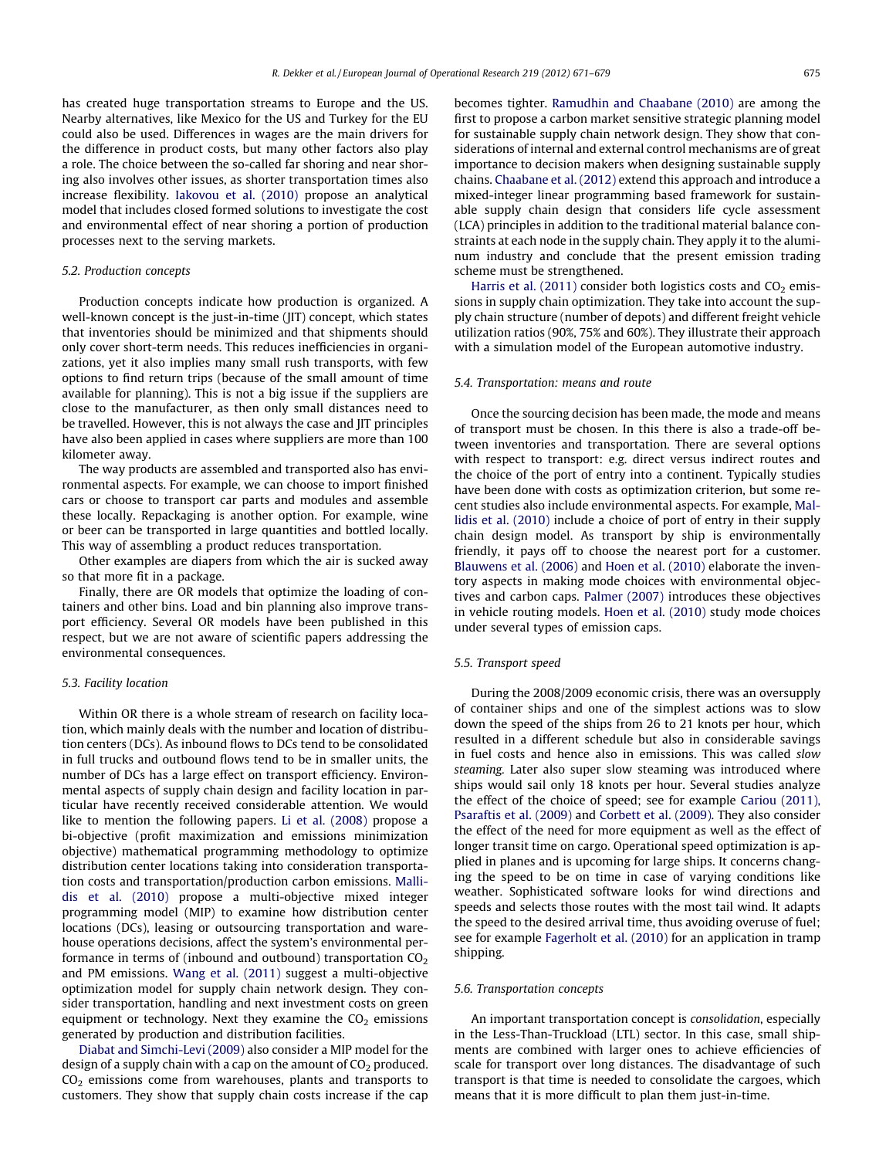has created huge transportation streams to Europe and the US. Nearby alternatives, like Mexico for the US and Turkey for the EU could also be used. Differences in wages are the main drivers for the difference in product costs, but many other factors also play a role. The choice between the so-called far shoring and near shoring also involves other issues, as shorter transportation times also increase flexibility. [Iakovou et al. \(2010\)](#page-8-0) propose an analytical model that includes closed formed solutions to investigate the cost and environmental effect of near shoring a portion of production processes next to the serving markets.

### 5.2. Production concepts

Production concepts indicate how production is organized. A well-known concept is the just-in-time (JIT) concept, which states that inventories should be minimized and that shipments should only cover short-term needs. This reduces inefficiencies in organizations, yet it also implies many small rush transports, with few options to find return trips (because of the small amount of time available for planning). This is not a big issue if the suppliers are close to the manufacturer, as then only small distances need to be travelled. However, this is not always the case and JIT principles have also been applied in cases where suppliers are more than 100 kilometer away.

The way products are assembled and transported also has environmental aspects. For example, we can choose to import finished cars or choose to transport car parts and modules and assemble these locally. Repackaging is another option. For example, wine or beer can be transported in large quantities and bottled locally. This way of assembling a product reduces transportation.

Other examples are diapers from which the air is sucked away so that more fit in a package.

Finally, there are OR models that optimize the loading of containers and other bins. Load and bin planning also improve transport efficiency. Several OR models have been published in this respect, but we are not aware of scientific papers addressing the environmental consequences.

#### 5.3. Facility location

Within OR there is a whole stream of research on facility location, which mainly deals with the number and location of distribution centers (DCs). As inbound flows to DCs tend to be consolidated in full trucks and outbound flows tend to be in smaller units, the number of DCs has a large effect on transport efficiency. Environmental aspects of supply chain design and facility location in particular have recently received considerable attention. We would like to mention the following papers. [Li et al. \(2008\)](#page-8-0) propose a bi-objective (profit maximization and emissions minimization objective) mathematical programming methodology to optimize distribution center locations taking into consideration transportation costs and transportation/production carbon emissions. [Malli](#page-8-0)[dis et al. \(2010\)](#page-8-0) propose a multi-objective mixed integer programming model (MIP) to examine how distribution center locations (DCs), leasing or outsourcing transportation and warehouse operations decisions, affect the system's environmental performance in terms of (inbound and outbound) transportation  $CO<sub>2</sub>$ and PM emissions. [Wang et al. \(2011\)](#page-8-0) suggest a multi-objective optimization model for supply chain network design. They consider transportation, handling and next investment costs on green equipment or technology. Next they examine the  $CO<sub>2</sub>$  emissions generated by production and distribution facilities.

[Diabat and Simchi-Levi \(2009\)](#page-7-0) also consider a MIP model for the design of a supply chain with a cap on the amount of  $CO<sub>2</sub>$  produced. CO2 emissions come from warehouses, plants and transports to customers. They show that supply chain costs increase if the cap becomes tighter. [Ramudhin and Chaabane \(2010\)](#page-8-0) are among the first to propose a carbon market sensitive strategic planning model for sustainable supply chain network design. They show that considerations of internal and external control mechanisms are of great importance to decision makers when designing sustainable supply chains. [Chaabane et al. \(2012\)](#page-7-0) extend this approach and introduce a mixed-integer linear programming based framework for sustainable supply chain design that considers life cycle assessment (LCA) principles in addition to the traditional material balance constraints at each node in the supply chain. They apply it to the aluminum industry and conclude that the present emission trading scheme must be strengthened.

[Harris et al. \(2011\)](#page-8-0) consider both logistics costs and  $CO<sub>2</sub>$  emissions in supply chain optimization. They take into account the supply chain structure (number of depots) and different freight vehicle utilization ratios (90%, 75% and 60%). They illustrate their approach with a simulation model of the European automotive industry.

#### 5.4. Transportation: means and route

Once the sourcing decision has been made, the mode and means of transport must be chosen. In this there is also a trade-off between inventories and transportation. There are several options with respect to transport: e.g. direct versus indirect routes and the choice of the port of entry into a continent. Typically studies have been done with costs as optimization criterion, but some recent studies also include environmental aspects. For example, [Mal](#page-8-0)[lidis et al. \(2010\)](#page-8-0) include a choice of port of entry in their supply chain design model. As transport by ship is environmentally friendly, it pays off to choose the nearest port for a customer. [Blauwens et al. \(2006\)](#page-7-0) and [Hoen et al. \(2010\)](#page-8-0) elaborate the inventory aspects in making mode choices with environmental objectives and carbon caps. [Palmer \(2007\)](#page-8-0) introduces these objectives in vehicle routing models. [Hoen et al. \(2010\)](#page-8-0) study mode choices under several types of emission caps.

#### 5.5. Transport speed

During the 2008/2009 economic crisis, there was an oversupply of container ships and one of the simplest actions was to slow down the speed of the ships from 26 to 21 knots per hour, which resulted in a different schedule but also in considerable savings in fuel costs and hence also in emissions. This was called slow steaming. Later also super slow steaming was introduced where ships would sail only 18 knots per hour. Several studies analyze the effect of the choice of speed; see for example [Cariou \(2011\),](#page-7-0) [Psaraftis et al. \(2009\)](#page-7-0) and [Corbett et al. \(2009\).](#page-7-0) They also consider the effect of the need for more equipment as well as the effect of longer transit time on cargo. Operational speed optimization is applied in planes and is upcoming for large ships. It concerns changing the speed to be on time in case of varying conditions like weather. Sophisticated software looks for wind directions and speeds and selects those routes with the most tail wind. It adapts the speed to the desired arrival time, thus avoiding overuse of fuel; see for example [Fagerholt et al. \(2010\)](#page-7-0) for an application in tramp shipping.

#### 5.6. Transportation concepts

An important transportation concept is consolidation, especially in the Less-Than-Truckload (LTL) sector. In this case, small shipments are combined with larger ones to achieve efficiencies of scale for transport over long distances. The disadvantage of such transport is that time is needed to consolidate the cargoes, which means that it is more difficult to plan them just-in-time.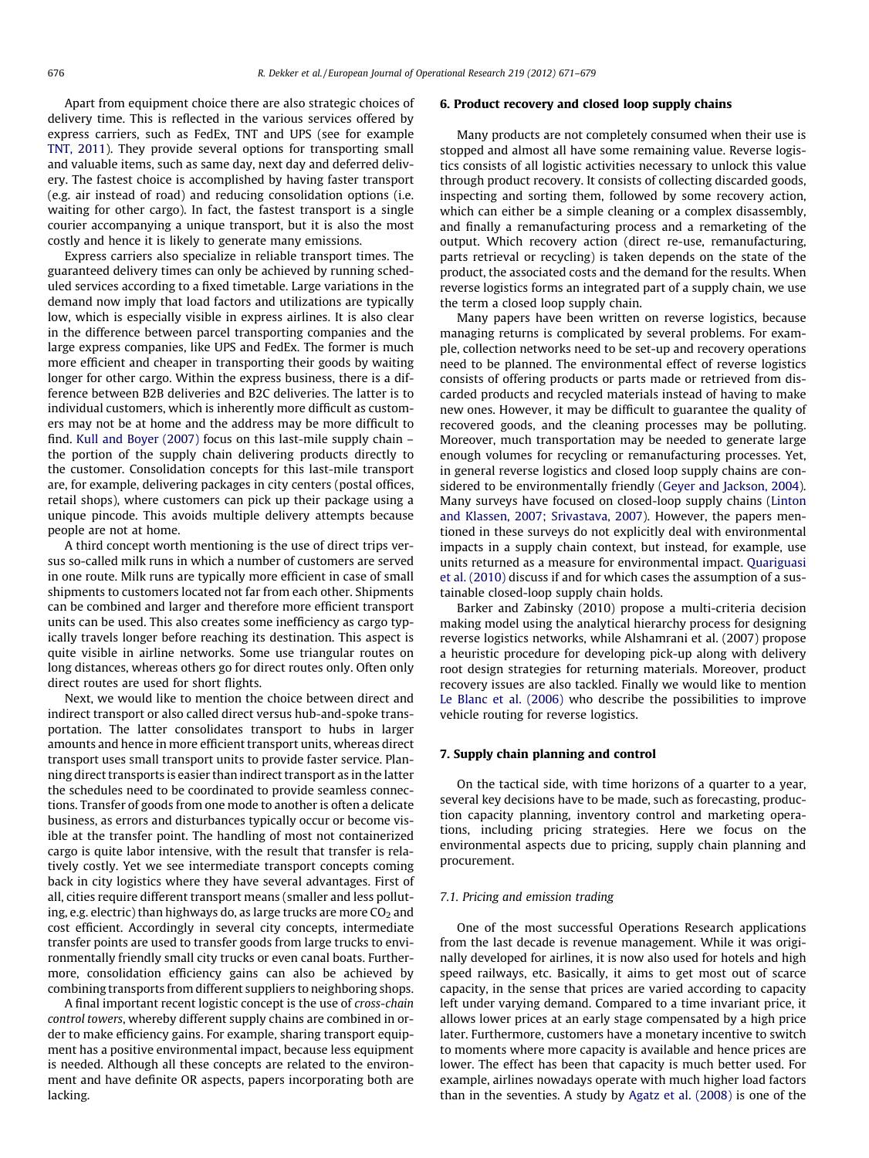<span id="page-5-0"></span>Apart from equipment choice there are also strategic choices of delivery time. This is reflected in the various services offered by express carriers, such as FedEx, TNT and UPS (see for example [TNT, 2011\)](#page-8-0). They provide several options for transporting small and valuable items, such as same day, next day and deferred delivery. The fastest choice is accomplished by having faster transport (e.g. air instead of road) and reducing consolidation options (i.e. waiting for other cargo). In fact, the fastest transport is a single courier accompanying a unique transport, but it is also the most costly and hence it is likely to generate many emissions.

Express carriers also specialize in reliable transport times. The guaranteed delivery times can only be achieved by running scheduled services according to a fixed timetable. Large variations in the demand now imply that load factors and utilizations are typically low, which is especially visible in express airlines. It is also clear in the difference between parcel transporting companies and the large express companies, like UPS and FedEx. The former is much more efficient and cheaper in transporting their goods by waiting longer for other cargo. Within the express business, there is a difference between B2B deliveries and B2C deliveries. The latter is to individual customers, which is inherently more difficult as customers may not be at home and the address may be more difficult to find. [Kull and Boyer \(2007\)](#page-8-0) focus on this last-mile supply chain – the portion of the supply chain delivering products directly to the customer. Consolidation concepts for this last-mile transport are, for example, delivering packages in city centers (postal offices, retail shops), where customers can pick up their package using a unique pincode. This avoids multiple delivery attempts because people are not at home.

A third concept worth mentioning is the use of direct trips versus so-called milk runs in which a number of customers are served in one route. Milk runs are typically more efficient in case of small shipments to customers located not far from each other. Shipments can be combined and larger and therefore more efficient transport units can be used. This also creates some inefficiency as cargo typically travels longer before reaching its destination. This aspect is quite visible in airline networks. Some use triangular routes on long distances, whereas others go for direct routes only. Often only direct routes are used for short flights.

Next, we would like to mention the choice between direct and indirect transport or also called direct versus hub-and-spoke transportation. The latter consolidates transport to hubs in larger amounts and hence in more efficient transport units, whereas direct transport uses small transport units to provide faster service. Planning direct transports is easier than indirect transport as in the latter the schedules need to be coordinated to provide seamless connections. Transfer of goods from one mode to another is often a delicate business, as errors and disturbances typically occur or become visible at the transfer point. The handling of most not containerized cargo is quite labor intensive, with the result that transfer is relatively costly. Yet we see intermediate transport concepts coming back in city logistics where they have several advantages. First of all, cities require different transport means (smaller and less polluting, e.g. electric) than highways do, as large trucks are more  $CO<sub>2</sub>$  and cost efficient. Accordingly in several city concepts, intermediate transfer points are used to transfer goods from large trucks to environmentally friendly small city trucks or even canal boats. Furthermore, consolidation efficiency gains can also be achieved by combining transports from different suppliers to neighboring shops.

A final important recent logistic concept is the use of cross-chain control towers, whereby different supply chains are combined in order to make efficiency gains. For example, sharing transport equipment has a positive environmental impact, because less equipment is needed. Although all these concepts are related to the environment and have definite OR aspects, papers incorporating both are lacking.

#### 6. Product recovery and closed loop supply chains

Many products are not completely consumed when their use is stopped and almost all have some remaining value. Reverse logistics consists of all logistic activities necessary to unlock this value through product recovery. It consists of collecting discarded goods, inspecting and sorting them, followed by some recovery action, which can either be a simple cleaning or a complex disassembly, and finally a remanufacturing process and a remarketing of the output. Which recovery action (direct re-use, remanufacturing, parts retrieval or recycling) is taken depends on the state of the product, the associated costs and the demand for the results. When reverse logistics forms an integrated part of a supply chain, we use the term a closed loop supply chain.

Many papers have been written on reverse logistics, because managing returns is complicated by several problems. For example, collection networks need to be set-up and recovery operations need to be planned. The environmental effect of reverse logistics consists of offering products or parts made or retrieved from discarded products and recycled materials instead of having to make new ones. However, it may be difficult to guarantee the quality of recovered goods, and the cleaning processes may be polluting. Moreover, much transportation may be needed to generate large enough volumes for recycling or remanufacturing processes. Yet, in general reverse logistics and closed loop supply chains are considered to be environmentally friendly [\(Geyer and Jackson, 2004\)](#page-7-0). Many surveys have focused on closed-loop supply chains ([Linton](#page-8-0) [and Klassen, 2007; Srivastava, 2007\)](#page-8-0). However, the papers mentioned in these surveys do not explicitly deal with environmental impacts in a supply chain context, but instead, for example, use units returned as a measure for environmental impact. [Quariguasi](#page-8-0) [et al. \(2010\)](#page-8-0) discuss if and for which cases the assumption of a sustainable closed-loop supply chain holds.

Barker and Zabinsky (2010) propose a multi-criteria decision making model using the analytical hierarchy process for designing reverse logistics networks, while Alshamrani et al. (2007) propose a heuristic procedure for developing pick-up along with delivery root design strategies for returning materials. Moreover, product recovery issues are also tackled. Finally we would like to mention [Le Blanc et al. \(2006\)](#page-8-0) who describe the possibilities to improve vehicle routing for reverse logistics.

# 7. Supply chain planning and control

On the tactical side, with time horizons of a quarter to a year, several key decisions have to be made, such as forecasting, production capacity planning, inventory control and marketing operations, including pricing strategies. Here we focus on the environmental aspects due to pricing, supply chain planning and procurement.

#### 7.1. Pricing and emission trading

One of the most successful Operations Research applications from the last decade is revenue management. While it was originally developed for airlines, it is now also used for hotels and high speed railways, etc. Basically, it aims to get most out of scarce capacity, in the sense that prices are varied according to capacity left under varying demand. Compared to a time invariant price, it allows lower prices at an early stage compensated by a high price later. Furthermore, customers have a monetary incentive to switch to moments where more capacity is available and hence prices are lower. The effect has been that capacity is much better used. For example, airlines nowadays operate with much higher load factors than in the seventies. A study by [Agatz et al. \(2008\)](#page-7-0) is one of the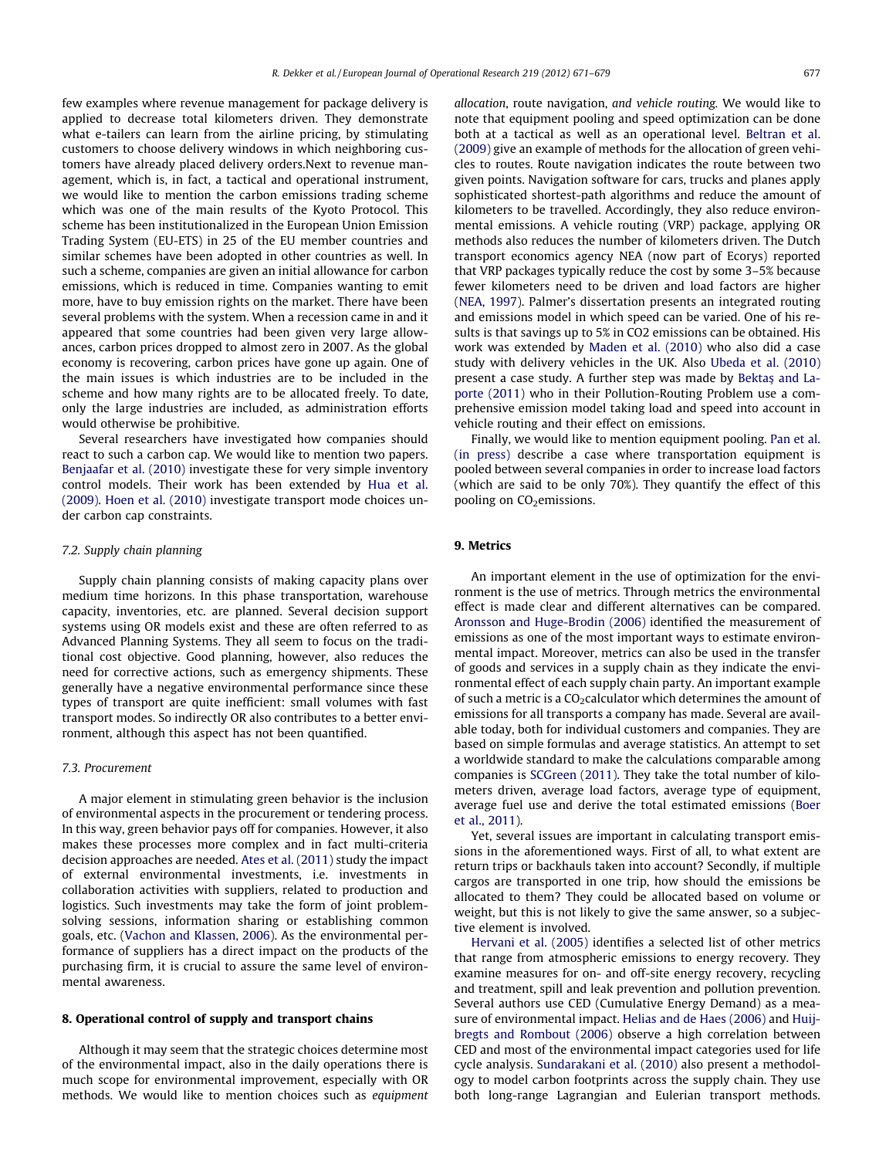<span id="page-6-0"></span>few examples where revenue management for package delivery is applied to decrease total kilometers driven. They demonstrate what e-tailers can learn from the airline pricing, by stimulating customers to choose delivery windows in which neighboring customers have already placed delivery orders.Next to revenue management, which is, in fact, a tactical and operational instrument, we would like to mention the carbon emissions trading scheme which was one of the main results of the Kyoto Protocol. This scheme has been institutionalized in the European Union Emission Trading System (EU-ETS) in 25 of the EU member countries and similar schemes have been adopted in other countries as well. In such a scheme, companies are given an initial allowance for carbon emissions, which is reduced in time. Companies wanting to emit more, have to buy emission rights on the market. There have been several problems with the system. When a recession came in and it appeared that some countries had been given very large allowances, carbon prices dropped to almost zero in 2007. As the global economy is recovering, carbon prices have gone up again. One of the main issues is which industries are to be included in the scheme and how many rights are to be allocated freely. To date, only the large industries are included, as administration efforts would otherwise be prohibitive.

Several researchers have investigated how companies should react to such a carbon cap. We would like to mention two papers. [Benjaafar et al. \(2010\)](#page-7-0) investigate these for very simple inventory control models. Their work has been extended by [Hua et al.](#page-8-0) [\(2009\)](#page-8-0). [Hoen et al. \(2010\)](#page-8-0) investigate transport mode choices under carbon cap constraints.

#### 7.2. Supply chain planning

Supply chain planning consists of making capacity plans over medium time horizons. In this phase transportation, warehouse capacity, inventories, etc. are planned. Several decision support systems using OR models exist and these are often referred to as Advanced Planning Systems. They all seem to focus on the traditional cost objective. Good planning, however, also reduces the need for corrective actions, such as emergency shipments. These generally have a negative environmental performance since these types of transport are quite inefficient: small volumes with fast transport modes. So indirectly OR also contributes to a better environment, although this aspect has not been quantified.

#### 7.3. Procurement

A major element in stimulating green behavior is the inclusion of environmental aspects in the procurement or tendering process. In this way, green behavior pays off for companies. However, it also makes these processes more complex and in fact multi-criteria decision approaches are needed. [Ates et al. \(2011\)](#page-7-0) study the impact of external environmental investments, i.e. investments in collaboration activities with suppliers, related to production and logistics. Such investments may take the form of joint problemsolving sessions, information sharing or establishing common goals, etc. ([Vachon and Klassen, 2006](#page-8-0)). As the environmental performance of suppliers has a direct impact on the products of the purchasing firm, it is crucial to assure the same level of environmental awareness.

#### 8. Operational control of supply and transport chains

Although it may seem that the strategic choices determine most of the environmental impact, also in the daily operations there is much scope for environmental improvement, especially with OR methods. We would like to mention choices such as equipment

allocation, route navigation, and vehicle routing. We would like to note that equipment pooling and speed optimization can be done both at a tactical as well as an operational level. [Beltran et al.](#page-7-0) [\(2009\)](#page-7-0) give an example of methods for the allocation of green vehicles to routes. Route navigation indicates the route between two given points. Navigation software for cars, trucks and planes apply sophisticated shortest-path algorithms and reduce the amount of kilometers to be travelled. Accordingly, they also reduce environmental emissions. A vehicle routing (VRP) package, applying OR methods also reduces the number of kilometers driven. The Dutch transport economics agency NEA (now part of Ecorys) reported that VRP packages typically reduce the cost by some 3–5% because fewer kilometers need to be driven and load factors are higher ([NEA, 1997\)](#page-8-0). Palmer's dissertation presents an integrated routing and emissions model in which speed can be varied. One of his results is that savings up to 5% in CO2 emissions can be obtained. His work was extended by [Maden et al. \(2010\)](#page-8-0) who also did a case study with delivery vehicles in the UK. Also [Ubeda et al. \(2010\)](#page-8-0) present a case study. A further step was made by [Bekta](#page-7-0)ş [and La](#page-7-0)[porte \(2011\)](#page-7-0) who in their Pollution-Routing Problem use a comprehensive emission model taking load and speed into account in vehicle routing and their effect on emissions.

Finally, we would like to mention equipment pooling. [Pan et al.](#page-8-0) [\(in press\)](#page-8-0) describe a case where transportation equipment is pooled between several companies in order to increase load factors (which are said to be only 70%). They quantify the effect of this pooling on  $CO<sub>2</sub>$ emissions.

## 9. Metrics

An important element in the use of optimization for the environment is the use of metrics. Through metrics the environmental effect is made clear and different alternatives can be compared. [Aronsson and Huge-Brodin \(2006\)](#page-7-0) identified the measurement of emissions as one of the most important ways to estimate environmental impact. Moreover, metrics can also be used in the transfer of goods and services in a supply chain as they indicate the environmental effect of each supply chain party. An important example of such a metric is a  $CO<sub>2</sub>$ calculator which determines the amount of emissions for all transports a company has made. Several are available today, both for individual customers and companies. They are based on simple formulas and average statistics. An attempt to set a worldwide standard to make the calculations comparable among companies is [SCGreen \(2011\)](#page-8-0). They take the total number of kilometers driven, average load factors, average type of equipment, average fuel use and derive the total estimated emissions [\(Boer](#page-7-0) [et al., 2011\)](#page-7-0).

Yet, several issues are important in calculating transport emissions in the aforementioned ways. First of all, to what extent are return trips or backhauls taken into account? Secondly, if multiple cargos are transported in one trip, how should the emissions be allocated to them? They could be allocated based on volume or weight, but this is not likely to give the same answer, so a subjective element is involved.

[Hervani et al. \(2005\)](#page-8-0) identifies a selected list of other metrics that range from atmospheric emissions to energy recovery. They examine measures for on- and off-site energy recovery, recycling and treatment, spill and leak prevention and pollution prevention. Several authors use CED (Cumulative Energy Demand) as a measure of environmental impact. [Helias and de Haes \(2006\)](#page-8-0) and [Huij](#page-8-0)[bregts and Rombout \(2006\)](#page-8-0) observe a high correlation between CED and most of the environmental impact categories used for life cycle analysis. [Sundarakani et al. \(2010\)](#page-8-0) also present a methodology to model carbon footprints across the supply chain. They use both long-range Lagrangian and Eulerian transport methods.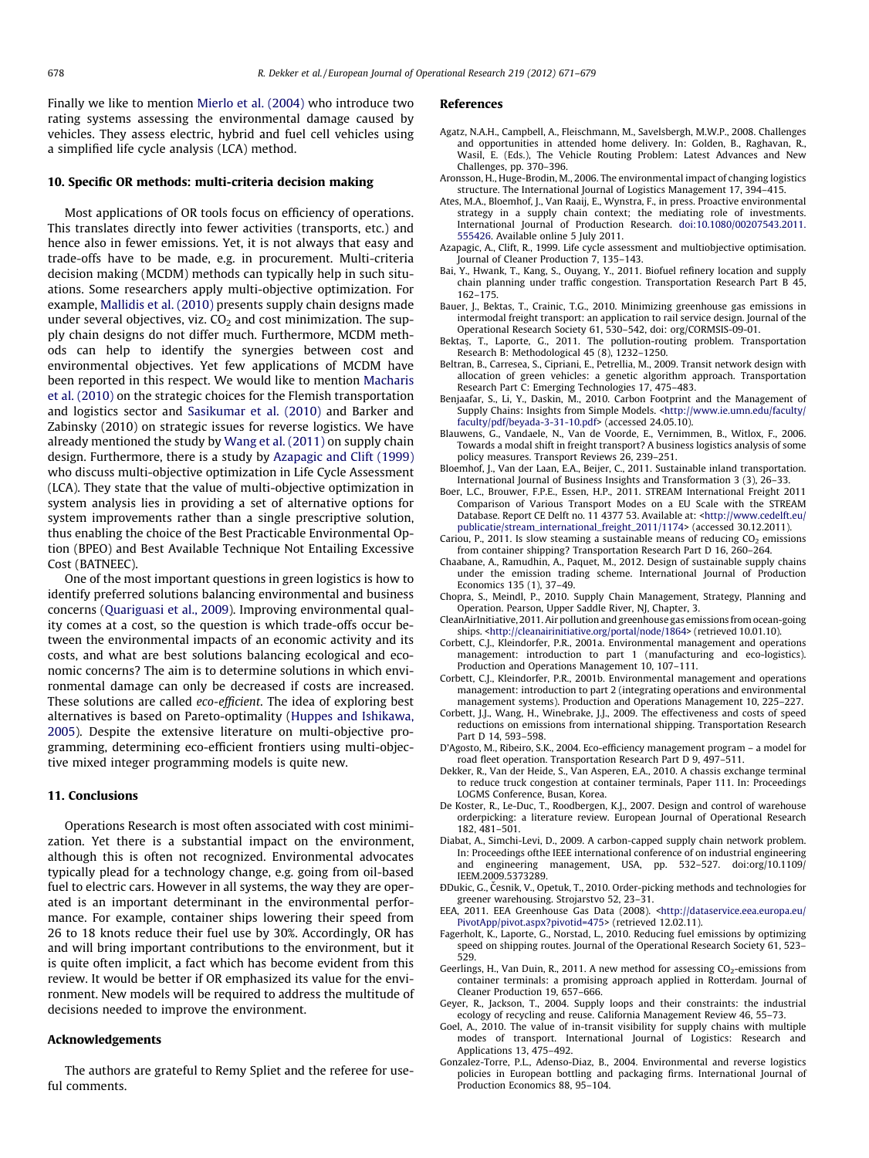<span id="page-7-0"></span>Finally we like to mention [Mierlo et al. \(2004\)](#page-8-0) who introduce two rating systems assessing the environmental damage caused by vehicles. They assess electric, hybrid and fuel cell vehicles using a simplified life cycle analysis (LCA) method.

# 10. Specific OR methods: multi-criteria decision making

Most applications of OR tools focus on efficiency of operations. This translates directly into fewer activities (transports, etc.) and hence also in fewer emissions. Yet, it is not always that easy and trade-offs have to be made, e.g. in procurement. Multi-criteria decision making (MCDM) methods can typically help in such situations. Some researchers apply multi-objective optimization. For example, [Mallidis et al. \(2010\)](#page-8-0) presents supply chain designs made under several objectives, viz.  $CO<sub>2</sub>$  and cost minimization. The supply chain designs do not differ much. Furthermore, MCDM methods can help to identify the synergies between cost and environmental objectives. Yet few applications of MCDM have been reported in this respect. We would like to mention [Macharis](#page-8-0) [et al. \(2010\)](#page-8-0) on the strategic choices for the Flemish transportation and logistics sector and [Sasikumar et al. \(2010\)](#page-8-0) and Barker and Zabinsky (2010) on strategic issues for reverse logistics. We have already mentioned the study by [Wang et al. \(2011\)](#page-8-0) on supply chain design. Furthermore, there is a study by Azapagic and Clift (1999) who discuss multi-objective optimization in Life Cycle Assessment (LCA). They state that the value of multi-objective optimization in system analysis lies in providing a set of alternative options for system improvements rather than a single prescriptive solution, thus enabling the choice of the Best Practicable Environmental Option (BPEO) and Best Available Technique Not Entailing Excessive Cost (BATNEEC).

One of the most important questions in green logistics is how to identify preferred solutions balancing environmental and business concerns ([Quariguasi et al., 2009\)](#page-8-0). Improving environmental quality comes at a cost, so the question is which trade-offs occur between the environmental impacts of an economic activity and its costs, and what are best solutions balancing ecological and economic concerns? The aim is to determine solutions in which environmental damage can only be decreased if costs are increased. These solutions are called eco-efficient. The idea of exploring best alternatives is based on Pareto-optimality ([Huppes and Ishikawa,](#page-8-0) [2005\)](#page-8-0). Despite the extensive literature on multi-objective programming, determining eco-efficient frontiers using multi-objective mixed integer programming models is quite new.

#### 11. Conclusions

Operations Research is most often associated with cost minimization. Yet there is a substantial impact on the environment, although this is often not recognized. Environmental advocates typically plead for a technology change, e.g. going from oil-based fuel to electric cars. However in all systems, the way they are operated is an important determinant in the environmental performance. For example, container ships lowering their speed from 26 to 18 knots reduce their fuel use by 30%. Accordingly, OR has and will bring important contributions to the environment, but it is quite often implicit, a fact which has become evident from this review. It would be better if OR emphasized its value for the environment. New models will be required to address the multitude of decisions needed to improve the environment.

#### Acknowledgements

The authors are grateful to Remy Spliet and the referee for useful comments.

#### References

- Agatz, N.A.H., Campbell, A., Fleischmann, M., Savelsbergh, M.W.P., 2008. Challenges and opportunities in attended home delivery. In: Golden, B., Raghavan, R., Wasil, E. (Eds.), The Vehicle Routing Problem: Latest Advances and New Challenges, pp. 370–396.
- Aronsson, H., Huge-Brodin, M., 2006. The environmental impact of changing logistics structure. The International Journal of Logistics Management 17, 394–415.
- Ates, M.A., Bloemhof, J., Van Raaij, E., Wynstra, F., in press. Proactive environmental strategy in a supply chain context; the mediating role of investments. International Journal of Production Research. [doi:10.1080/00207543.2011.](http://dx.doi.org/10.1080/00207543.2011.555426) [555426.](http://dx.doi.org/10.1080/00207543.2011.555426) Available online 5 July 2011.
- Azapagic, A., Clift, R., 1999. Life cycle assessment and multiobjective optimisation. Journal of Cleaner Production 7, 135–143.
- Bai, Y., Hwank, T., Kang, S., Ouyang, Y., 2011. Biofuel refinery location and supply chain planning under traffic congestion. Transportation Research Part B 45, 162–175.
- Bauer, J., Bektas, T., Crainic, T.G., 2010. Minimizing greenhouse gas emissions in intermodal freight transport: an application to rail service design. Journal of the Operational Research Society 61, 530–542, doi: org/CORMSIS-09-01.
- Bektaş, T., Laporte, G., 2011. The pollution-routing problem. Transportation Research B: Methodological 45 (8), 1232–1250.
- Beltran, B., Carresea, S., Cipriani, E., Petrellia, M., 2009. Transit network design with allocation of green vehicles: a genetic algorithm approach. Transportation Research Part C: Emerging Technologies 17, 475–483.
- Benjaafar, S., Li, Y., Daskin, M., 2010. Carbon Footprint and the Management of Supply Chains: Insights from Simple Models. <[http://www.ie.umn.edu/faculty/](http://www.ie.umn.edu/faculty/faculty/pdf/beyada-3-31-10.pdf) [faculty/pdf/beyada-3-31-10.pdf](http://www.ie.umn.edu/faculty/faculty/pdf/beyada-3-31-10.pdf)> (accessed 24.05.10).
- Blauwens, G., Vandaele, N., Van de Voorde, E., Vernimmen, B., Witlox, F., 2006. Towards a modal shift in freight transport? A business logistics analysis of some policy measures. Transport Reviews 26, 239–251.
- Bloemhof, J., Van der Laan, E.A., Beijer, C., 2011. Sustainable inland transportation. International Journal of Business Insights and Transformation 3 (3), 26–33.
- Boer, L.C., Brouwer, F.P.E., Essen, H.P., 2011. STREAM International Freight 2011 Comparison of Various Transport Modes on a EU Scale with the STREAM Database. Report CE Delft no. 11 4377 53. Available at: [<http://www.cedelft.eu/](http://www.cedelft.eu/publicatie/stream_international_freight_2011/1174) [publicatie/stream\\_international\\_freight\\_2011/1174>](http://www.cedelft.eu/publicatie/stream_international_freight_2011/1174) (accessed 30.12.2011).
- Cariou, P., 2011. Is slow steaming a sustainable means of reducing  $CO<sub>2</sub>$  emissions from container shipping? Transportation Research Part D 16, 260–264.
- Chaabane, A., Ramudhin, A., Paquet, M., 2012. Design of sustainable supply chains under the emission trading scheme. International Journal of Production Economics 135 (1), 37–49.
- Chopra, S., Meindl, P., 2010. Supply Chain Management, Strategy, Planning and Operation. Pearson, Upper Saddle River, NJ, Chapter, 3.
- CleanAirInitiative, 2011. Air pollution and greenhouse gas emissions from ocean-going ships. <[http://cleanairinitiative.org/portal/node/1864>](http://cleanairinitiative.org/portal/node/1864) (retrieved 10.01.10).
- Corbett, C.J., Kleindorfer, P.R., 2001a. Environmental management and operations management: introduction to part 1 (manufacturing and eco-logistics). Production and Operations Management 10, 107–111.
- Corbett, C.J., Kleindorfer, P.R., 2001b. Environmental management and operations management: introduction to part 2 (integrating operations and environmental management systems). Production and Operations Management 10, 225–227.
- Corbett, J.J., Wang, H., Winebrake, J.J., 2009. The effectiveness and costs of speed reductions on emissions from international shipping. Transportation Research Part D 14, 593–598.
- D'Agosto, M., Ribeiro, S.K., 2004. Eco-efficiency management program a model for road fleet operation. Transportation Research Part D 9, 497–511.
- Dekker, R., Van der Heide, S., Van Asperen, E.A., 2010. A chassis exchange terminal to reduce truck congestion at container terminals, Paper 111. In: Proceedings LOGMS Conference, Busan, Korea.
- De Koster, R., Le-Duc, T., Roodbergen, K.J., 2007. Design and control of warehouse orderpicking: a literature review. European Journal of Operational Research 182, 481–501.
- Diabat, A., Simchi-Levi, D., 2009. A carbon-capped supply chain network problem. In: Proceedings ofthe IEEE international conference of on industrial engineering and engineering management, USA, pp. 532–527. doi:org/10.1109/ IEEM.2009.5373289.
- ĐDukic, G., Česnik, V., Opetuk, T., 2010. Order-picking methods and technologies for greener warehousing. Strojarstvo 52, 23–31.
- EEA, 2011. EEA Greenhouse Gas Data (2008). [<http://dataservice.eea.europa.eu/](http://dataservice.eea.europa.eu/PivotApp/pivot.aspx?pivotid=475) [PivotApp/pivot.aspx?pivotid=475](http://dataservice.eea.europa.eu/PivotApp/pivot.aspx?pivotid=475)> (retrieved 12.02.11).
- Fagerholt, K., Laporte, G., Norstad, L., 2010. Reducing fuel emissions by optimizing speed on shipping routes. Journal of the Operational Research Society 61, 523– 529.
- Geerlings, H., Van Duin, R., 2011. A new method for assessing  $CO<sub>2</sub>$ -emissions from container terminals: a promising approach applied in Rotterdam. Journal of Cleaner Production 19, 657–666.
- Geyer, R., Jackson, T., 2004. Supply loops and their constraints: the industrial ecology of recycling and reuse. California Management Review 46, 55–73.
- Goel, A., 2010. The value of in-transit visibility for supply chains with multiple modes of transport. International Journal of Logistics: Research and Applications 13, 475–492.
- Gonzalez-Torre, P.L., Adenso-Diaz, B., 2004. Environmental and reverse logistics policies in European bottling and packaging firms. International Journal of Production Economics 88, 95–104.